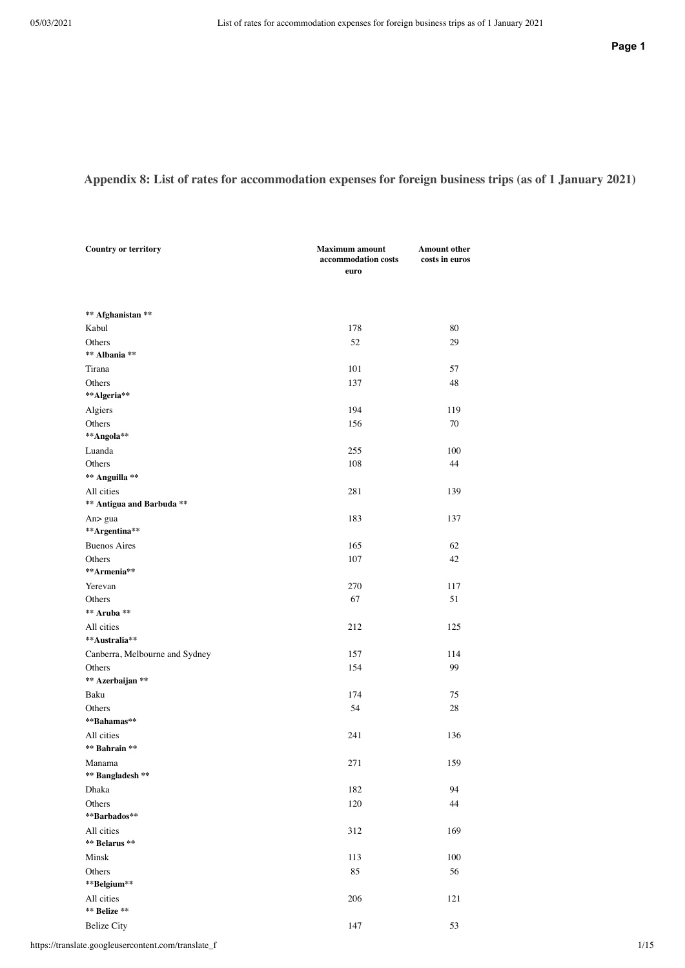## Appendix 8: List of rates for accommodation expenses for foreign business trips (as of 1 January 2021)

| <b>Country or territory</b>    | <b>Maximum</b> amount<br>accommodation costs<br>euro | <b>Amount other</b><br>costs in euros |
|--------------------------------|------------------------------------------------------|---------------------------------------|
|                                |                                                      |                                       |
| ** Afghanistan **              |                                                      |                                       |
| Kabul                          | 178                                                  | 80                                    |
| Others                         | 52                                                   | 29                                    |
| ** Albania **                  |                                                      |                                       |
| Tirana                         | 101                                                  | 57                                    |
| Others                         | 137                                                  | 48                                    |
| **Algeria**                    |                                                      |                                       |
| Algiers                        | 194                                                  | 119                                   |
| Others                         | 156                                                  | 70                                    |
| **Angola**                     |                                                      |                                       |
| Luanda                         | 255                                                  | 100                                   |
| Others                         | 108                                                  | 44                                    |
| ** Anguilla **                 |                                                      |                                       |
| All cities                     | 281                                                  | 139                                   |
| ** Antigua and Barbuda **      |                                                      |                                       |
| An> gua                        | 183                                                  | 137                                   |
| **Argentina**                  |                                                      |                                       |
| <b>Buenos Aires</b>            | 165                                                  | 62                                    |
| Others                         | 107                                                  | 42                                    |
| **Armenia**                    |                                                      |                                       |
| Yerevan                        | 270                                                  | 117                                   |
| Others                         | 67                                                   | 51                                    |
| ** Aruba **                    |                                                      |                                       |
| All cities                     | 212                                                  | 125                                   |
| **Australia**                  |                                                      |                                       |
| Canberra, Melbourne and Sydney | 157                                                  | 114                                   |
| Others                         | 154                                                  | 99                                    |
| ** Azerbaijan **               |                                                      |                                       |
| Baku                           | 174                                                  | 75                                    |
| Others                         | 54                                                   | 28                                    |
| **Bahamas**                    |                                                      |                                       |
| All cities                     | 241                                                  | 136                                   |
| ** Bahrain **                  |                                                      |                                       |
| Manama                         | 271                                                  | 159                                   |
| ** Bangladesh **               |                                                      |                                       |
| Dhaka                          | 182                                                  | 94                                    |
| Others                         | 120                                                  | 44                                    |
| **Barbados**                   |                                                      |                                       |
| All cities                     | 312                                                  | 169                                   |
| ** Belarus **                  |                                                      |                                       |
| Minsk                          | 113                                                  | 100                                   |
| Others                         | 85                                                   | 56                                    |
| **Belgium**                    |                                                      |                                       |
| All cities                     | 206                                                  | 121                                   |
| ** Belize **                   |                                                      |                                       |
| <b>Belize City</b>             | 147                                                  | 53                                    |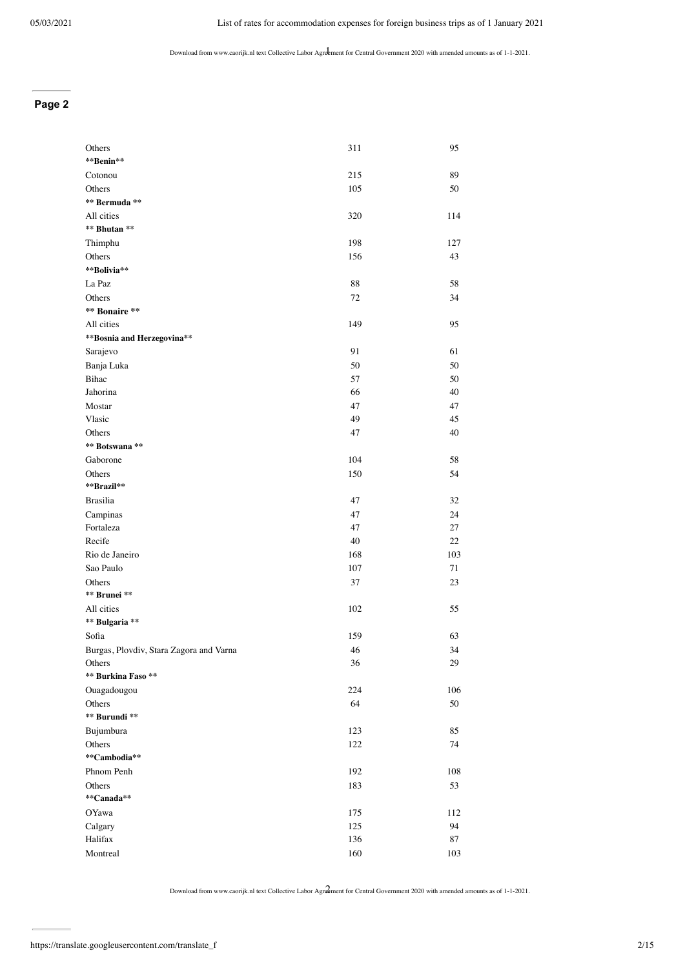#### **Page 2**

| Others                                  | 311 | 95  |
|-----------------------------------------|-----|-----|
| **Benin**                               |     |     |
| Cotonou                                 | 215 | 89  |
| Others                                  | 105 | 50  |
| ** Bermuda **                           |     |     |
| All cities                              | 320 | 114 |
| ** Bhutan **                            |     |     |
| Thimphu                                 | 198 | 127 |
| Others                                  | 156 | 43  |
| **Bolivia**                             |     |     |
| La Paz                                  | 88  | 58  |
| Others                                  | 72  | 34  |
| ** Bonaire **                           |     |     |
| All cities                              | 149 | 95  |
| ** Bosnia and Herzegovina**             |     |     |
| Sarajevo                                | 91  | 61  |
| Banja Luka                              | 50  | 50  |
| Bihac                                   | 57  | 50  |
| Jahorina                                | 66  | 40  |
| Mostar                                  | 47  | 47  |
| Vlasic                                  | 49  | 45  |
| Others                                  | 47  | 40  |
| ** Botswana **                          |     |     |
| Gaborone                                | 104 | 58  |
| Others                                  | 150 | 54  |
| **Brazil**                              |     |     |
| <b>Brasilia</b>                         | 47  | 32  |
| Campinas                                | 47  | 24  |
| Fortaleza                               | 47  | 27  |
| Recife                                  | 40  | 22  |
| Rio de Janeiro                          | 168 | 103 |
| Sao Paulo                               | 107 | 71  |
| Others                                  | 37  | 23  |
| ** Brunei **                            |     |     |
| All cities                              | 102 | 55  |
| ** Bulgaria **                          |     |     |
| Sofia                                   | 159 | 63  |
| Burgas, Plovdiv, Stara Zagora and Varna | 46  | 34  |
| Others                                  | 36  | 29  |
| ** Burkina Faso **                      |     |     |
| Ouagadougou                             | 224 | 106 |
| Others                                  | 64  | 50  |
| ** Burundi **                           |     |     |
| Bujumbura                               | 123 | 85  |
| Others                                  | 122 | 74  |
| **Cambodia**                            |     |     |
| Phnom Penh                              | 192 | 108 |
| Others                                  | 183 | 53  |
| **Canada**                              |     |     |
| OYawa                                   | 175 | 112 |
| Calgary                                 | 125 | 94  |
| Halifax                                 | 136 | 87  |
| Montreal                                | 160 | 103 |
|                                         |     |     |

Download from www.caorijk.nl text Collective Labor Agreement for Central Government 2020 with amended amounts as of 1-1-2021. 2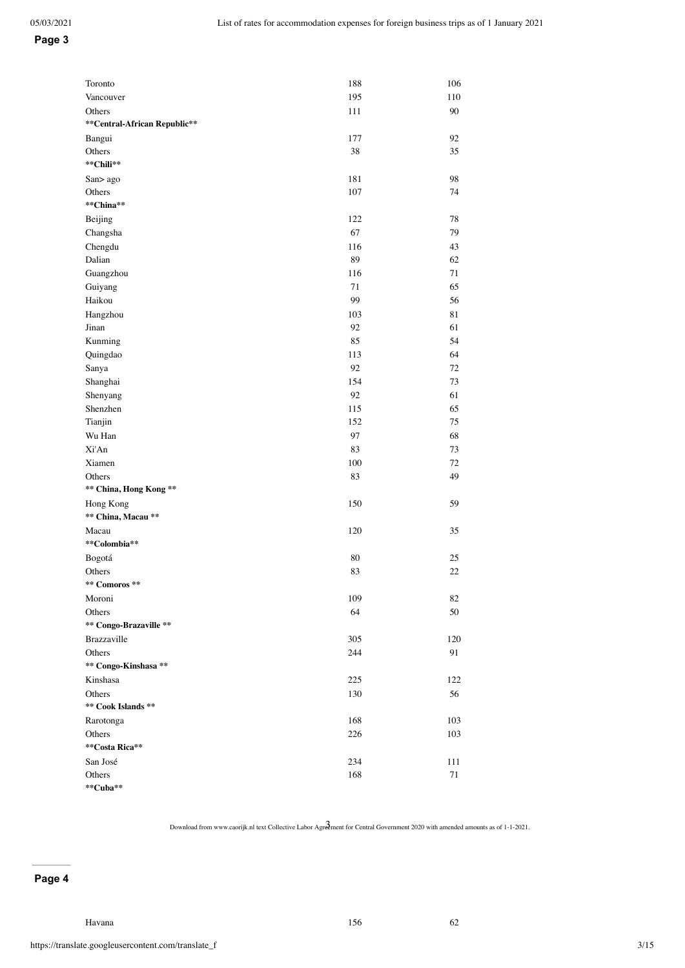#### **Page 3**

| Toronto                      | 188 | 106 |
|------------------------------|-----|-----|
| Vancouver                    | 195 | 110 |
| Others                       | 111 | 90  |
| **Central-African Republic** |     |     |
| Bangui                       | 177 | 92  |
| Others                       | 38  | 35  |
| **Chili**                    |     |     |
| San> ago                     | 181 | 98  |
| Others<br>**China**          | 107 | 74  |
|                              |     |     |
| Beijing                      | 122 | 78  |
| Changsha                     | 67  | 79  |
| Chengdu                      | 116 | 43  |
| Dalian                       | 89  | 62  |
| Guangzhou                    | 116 | 71  |
| Guiyang                      | 71  | 65  |
| Haikou                       | 99  | 56  |
| Hangzhou                     | 103 | 81  |
| Jinan                        | 92  | 61  |
| Kunming                      | 85  | 54  |
| Quingdao                     | 113 | 64  |
| Sanya                        | 92  | 72  |
| Shanghai                     | 154 | 73  |
| Shenyang                     | 92  | 61  |
| Shenzhen                     | 115 | 65  |
| Tianjin                      | 152 | 75  |
| Wu Han                       | 97  | 68  |
| Xi'An                        | 83  | 73  |
| Xiamen                       | 100 | 72  |
| Others                       | 83  | 49  |
| ** China, Hong Kong **       |     |     |
| Hong Kong                    | 150 | 59  |
| ** China, Macau **           |     |     |
| Macau                        | 120 | 35  |
| **Colombia**                 |     |     |
| Bogotá                       | 80  | 25  |
| Others                       | 83  | 22  |
| ** Comoros **                |     |     |
| Moroni                       | 109 | 82  |
| Others                       | 64  | 50  |
| ** Congo-Brazaville **       |     |     |
| Brazzaville                  | 305 | 120 |
| Others                       | 244 | 91  |
| ** Congo-Kinshasa **         |     |     |
| Kinshasa                     | 225 | 122 |
| Others                       | 130 | 56  |
| ** Cook Islands **           |     |     |
| Rarotonga                    | 168 | 103 |
| Others                       | 226 | 103 |
| **Costa Rica**               |     |     |
| San José                     | 234 | 111 |
| Others                       | 168 | 71  |
| **Cuba**                     |     |     |

Download from www.caorijk.nl text Collective Labor Agreement for Central Government 2020 with amended amounts as of 1-1-2021.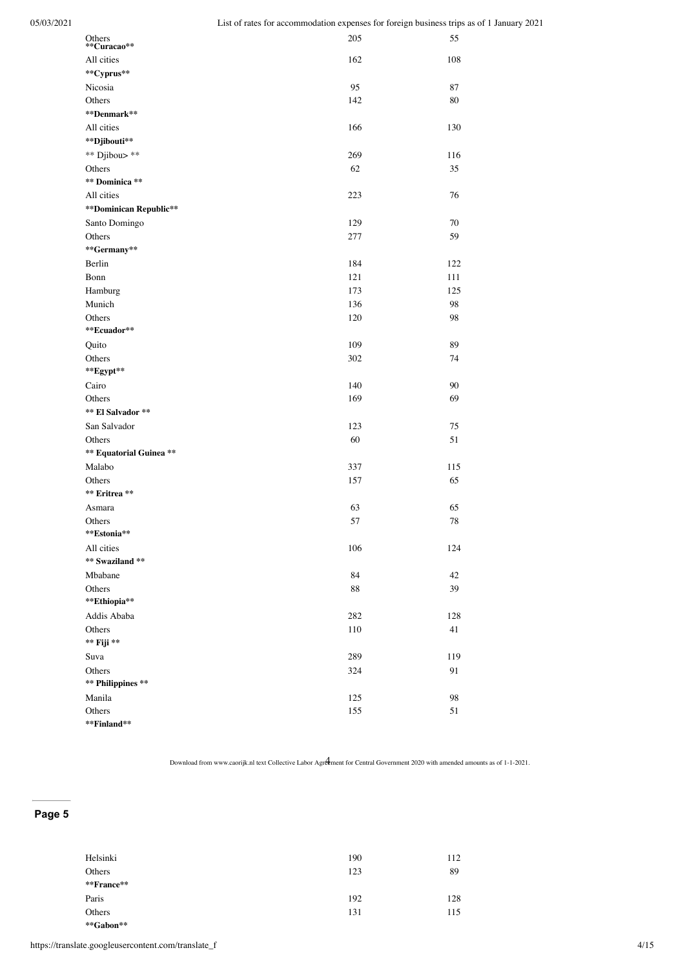| Others<br>**Curacao**   | 205 | 55     |
|-------------------------|-----|--------|
| All cities              | 162 | 108    |
| **Cyprus**              |     |        |
| Nicosia                 | 95  | 87     |
| Others                  | 142 | 80     |
| **Denmark**             |     |        |
| All cities              | 166 | 130    |
| **Djibouti**            |     |        |
| ** Djibou> **           | 269 | 116    |
| Others                  | 62  | 35     |
| ** Dominica **          |     |        |
| All cities              | 223 | 76     |
| **Dominican Republic**  |     |        |
| Santo Domingo           | 129 | 70     |
| Others                  | 277 | 59     |
| **Germany**             |     |        |
| Berlin                  | 184 | 122    |
| Bonn                    | 121 | 111    |
| Hamburg                 | 173 | 125    |
| Munich                  | 136 | 98     |
| Others                  | 120 | 98     |
| **Ecuador**             |     |        |
| Quito                   | 109 | 89     |
| Others                  | 302 | 74     |
| **Egypt**               |     |        |
| Cairo                   | 140 | 90     |
| Others                  | 169 | 69     |
| ** El Salvador **       |     |        |
| San Salvador            | 123 | 75     |
| Others                  | 60  | 51     |
| ** Equatorial Guinea ** |     |        |
| Malabo                  | 337 | 115    |
| Others                  | 157 | 65     |
| ** Eritrea **           |     |        |
| Asmara                  | 63  | 65     |
| Others                  | 57  | $78\,$ |
| **Estonia**             |     |        |
| All cities              | 106 | 124    |
| ** Swaziland **         |     |        |
| Mbabane                 | 84  | 42     |
| Others                  | 88  | 39     |
| **Ethiopia**            |     |        |
| Addis Ababa             | 282 | 128    |
| Others                  | 110 | 41     |
| ** Fiji **              |     |        |
| Suva                    | 289 | 119    |
| Others                  | 324 | 91     |
| ** Philippines **       |     |        |
| Manila                  | 125 | 98     |
| Others                  | 155 | 51     |
| **Finland**             |     |        |

## **Page 5**

| Helsinki<br>Others | 190<br>123 | 112<br>89 |
|--------------------|------------|-----------|
| **France**         |            |           |
| Paris              | 192        | 128       |
| Others             | 131        | 115       |
| **Gabon**          |            |           |

https://translate.googleusercontent.com/translate\_f 4/15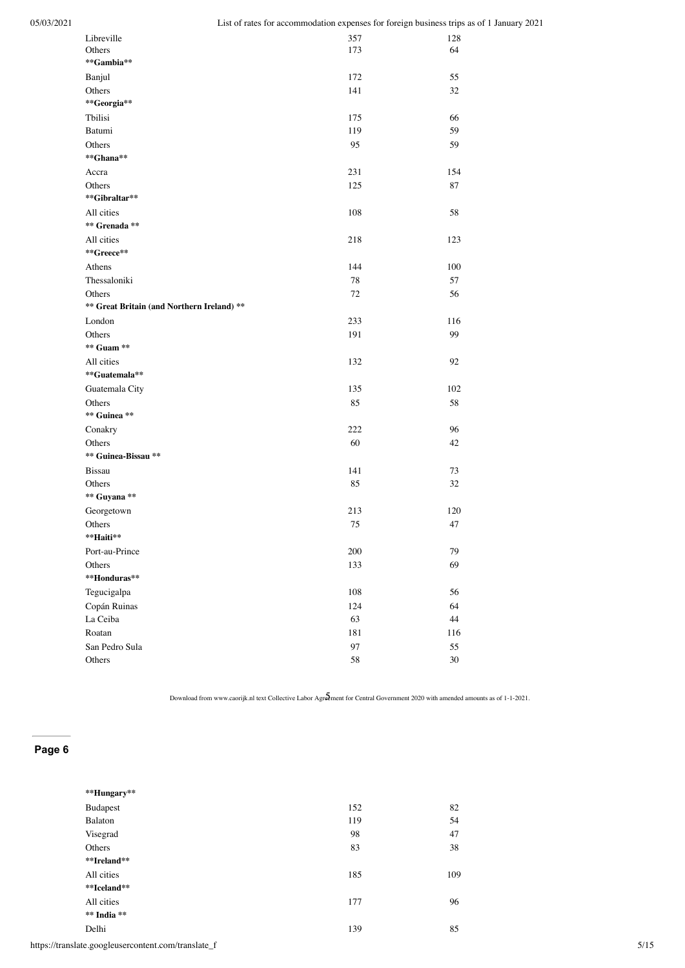| Libreville                                 | 357 | 128    |
|--------------------------------------------|-----|--------|
| Others                                     | 173 | 64     |
| **Gambia**                                 |     |        |
| Banjul                                     | 172 | 55     |
| Others                                     | 141 | 32     |
| **Georgia**                                |     |        |
| Tbilisi                                    | 175 | 66     |
| Batumi                                     | 119 | 59     |
| Others                                     | 95  | 59     |
| **Ghana**                                  |     |        |
| Accra                                      | 231 | 154    |
| Others                                     | 125 | 87     |
| **Gibraltar**                              |     |        |
| All cities                                 | 108 | 58     |
| ** Grenada **                              |     |        |
| All cities                                 | 218 | 123    |
| **Greece**                                 |     |        |
| Athens                                     | 144 | 100    |
| Thessaloniki                               | 78  | 57     |
| Others                                     | 72  | 56     |
| ** Great Britain (and Northern Ireland) ** |     |        |
| London                                     | 233 | 116    |
| Others                                     | 191 | 99     |
| ** Guam **                                 |     |        |
| All cities                                 | 132 | 92     |
| **Guatemala**                              |     |        |
| Guatemala City                             | 135 | 102    |
| Others                                     | 85  | 58     |
| ** Guinea **                               |     |        |
| Conakry                                    | 222 | 96     |
| Others                                     | 60  | 42     |
| ** Guinea-Bissau **                        |     |        |
| <b>Bissau</b>                              | 141 | 73     |
| Others                                     | 85  | $32\,$ |
| ** Guyana **                               |     |        |
| Georgetown                                 | 213 | 120    |
| Others                                     | 75  | 47     |
| **Haiti**                                  |     |        |
| Port-au-Prince                             | 200 | 79     |
| Others                                     | 133 | 69     |
| **Honduras**                               |     |        |
| Tegucigalpa                                | 108 | 56     |
| Copán Ruinas                               | 124 | 64     |
| La Ceiba                                   | 63  | 44     |
| Roatan                                     | 181 | 116    |
| San Pedro Sula                             | 97  | 55     |
| Others                                     | 58  | 30     |
|                                            |     |        |

| **Hungary**                                         |     |      |
|-----------------------------------------------------|-----|------|
| Budapest                                            | 152 | 82   |
| Balaton                                             | 119 | 54   |
| Visegrad                                            | 98  | 47   |
| Others                                              | 83  | 38   |
| **Ireland**                                         |     |      |
| All cities                                          | 185 | 109  |
| **Iceland**                                         |     |      |
| All cities                                          | 177 | 96   |
| ** India **                                         |     |      |
| Delhi                                               | 139 | 85   |
| https://translate.googleusercontent.com/translate_f |     | 5/15 |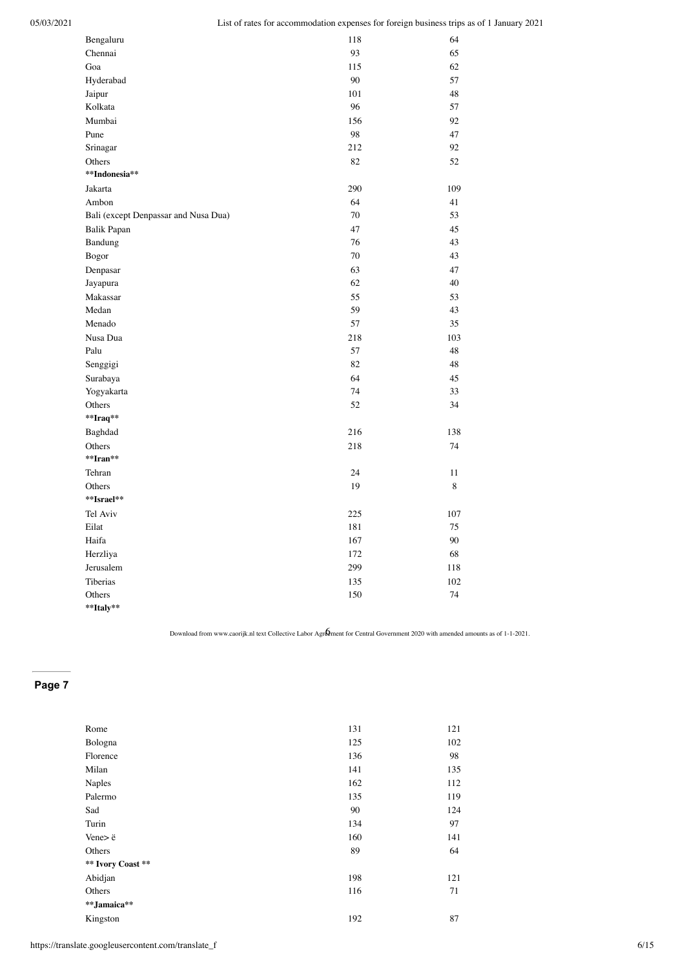| Bengaluru                            | 118 | 64  |
|--------------------------------------|-----|-----|
| Chennai                              | 93  | 65  |
| Goa                                  | 115 | 62  |
| Hyderabad                            | 90  | 57  |
| Jaipur                               | 101 | 48  |
| Kolkata                              | 96  | 57  |
| Mumbai                               | 156 | 92  |
| Pune                                 | 98  | 47  |
| Srinagar                             | 212 | 92  |
| Others                               | 82  | 52  |
| **Indonesia**                        |     |     |
| Jakarta                              | 290 | 109 |
| Ambon                                | 64  | 41  |
| Bali (except Denpassar and Nusa Dua) | 70  | 53  |
| <b>Balik Papan</b>                   | 47  | 45  |
| Bandung                              | 76  | 43  |
| Bogor                                | 70  | 43  |
| Denpasar                             | 63  | 47  |
| Jayapura                             | 62  | 40  |
| Makassar                             | 55  | 53  |
| Medan                                | 59  | 43  |
| Menado                               | 57  | 35  |
| Nusa Dua                             | 218 | 103 |
| Palu                                 | 57  | 48  |
| Senggigi                             | 82  | 48  |
| Surabaya                             | 64  | 45  |
| Yogyakarta                           | 74  | 33  |
| Others                               | 52  | 34  |
| **Iraq**                             |     |     |
| Baghdad                              | 216 | 138 |
| Others                               | 218 | 74  |
| **Iran**                             |     |     |
| Tehran                               | 24  | 11  |
| Others                               | 19  | 8   |
| **Israel**                           |     |     |
| Tel Aviv                             | 225 | 107 |
| Eilat                                | 181 | 75  |
| Haifa                                | 167 | 90  |
| Herzliya                             | 172 | 68  |
| Jerusalem                            | 299 | 118 |
| Tiberias                             | 135 | 102 |
| Others                               | 150 | 74  |
| **Italy**                            |     |     |

| Rome              | 131 | 121 |
|-------------------|-----|-----|
| Bologna           | 125 | 102 |
| Florence          | 136 | 98  |
| Milan             | 141 | 135 |
| Naples            | 162 | 112 |
| Palermo           | 135 | 119 |
| Sad               | 90  | 124 |
| Turin             | 134 | 97  |
| Vene>ë            | 160 | 141 |
| Others            | 89  | 64  |
| ** Ivory Coast ** |     |     |
| Abidjan           | 198 | 121 |
| Others            | 116 | 71  |
| **Jamaica**       |     |     |
| Kingston          | 192 | 87  |
|                   |     |     |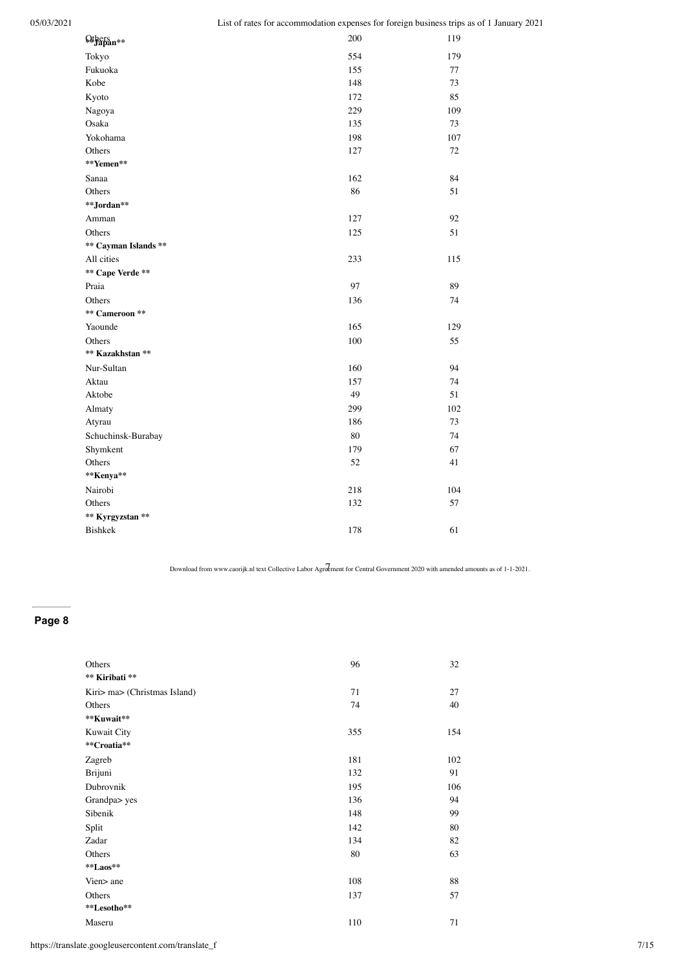| <b>Others</b><br>##Papan** | 200    | 119 |
|----------------------------|--------|-----|
| Tokyo                      | 554    | 179 |
| Fukuoka                    | 155    | 77  |
| Kobe                       | 148    | 73  |
| Kyoto                      | 172    | 85  |
| Nagoya                     | 229    | 109 |
| Osaka                      | 135    | 73  |
| Yokohama                   | 198    | 107 |
| Others                     | 127    | 72  |
| **Yemen**                  |        |     |
| Sanaa                      | 162    | 84  |
| Others                     | 86     | 51  |
| **Jordan**                 |        |     |
| Amman                      | 127    | 92  |
| Others                     | 125    | 51  |
| ** Cayman Islands **       |        |     |
| All cities                 | 233    | 115 |
| ** Cape Verde **           |        |     |
| Praia                      | 97     | 89  |
| Others                     | 136    | 74  |
| ** Cameroon **             |        |     |
| Yaounde                    | 165    | 129 |
| Others                     | 100    | 55  |
| ** Kazakhstan **           |        |     |
| Nur-Sultan                 | 160    | 94  |
| Aktau                      | 157    | 74  |
| Aktobe                     | 49     | 51  |
| Almaty                     | 299    | 102 |
| Atyrau                     | 186    | 73  |
| Schuchinsk-Burabay         | $80\,$ | 74  |
| Shymkent                   | 179    | 67  |
| Others                     | 52     | 41  |
| **Kenya**                  |        |     |
| Nairobi                    | 218    | 104 |
| Others                     | 132    | 57  |
| ** Kyrgyzstan **           |        |     |
| Bishkek                    | 178    | 61  |
|                            |        |     |

## **Page 8**

| Others                       | 96  | 32  |
|------------------------------|-----|-----|
| ** Kiribati **               |     |     |
| Kiri> ma> (Christmas Island) | 71  | 27  |
| Others                       | 74  | 40  |
| **Kuwait**                   |     |     |
| Kuwait City                  | 355 | 154 |
| **Croatia**                  |     |     |
| Zagreb                       | 181 | 102 |
| Brijuni                      | 132 | 91  |
| Dubrovnik                    | 195 | 106 |
| Grandpa> yes                 | 136 | 94  |
| Sibenik                      | 148 | 99  |
| Split                        | 142 | 80  |
| Zadar                        | 134 | 82  |
| Others                       | 80  | 63  |
| $*$ Laos**                   |     |     |
| Vien > ane                   | 108 | 88  |
| Others                       | 137 | 57  |
| **Lesotho**                  |     |     |
| Maseru                       | 110 | 71  |
|                              |     |     |

https://translate.googleusercontent.com/translate\_f 7/15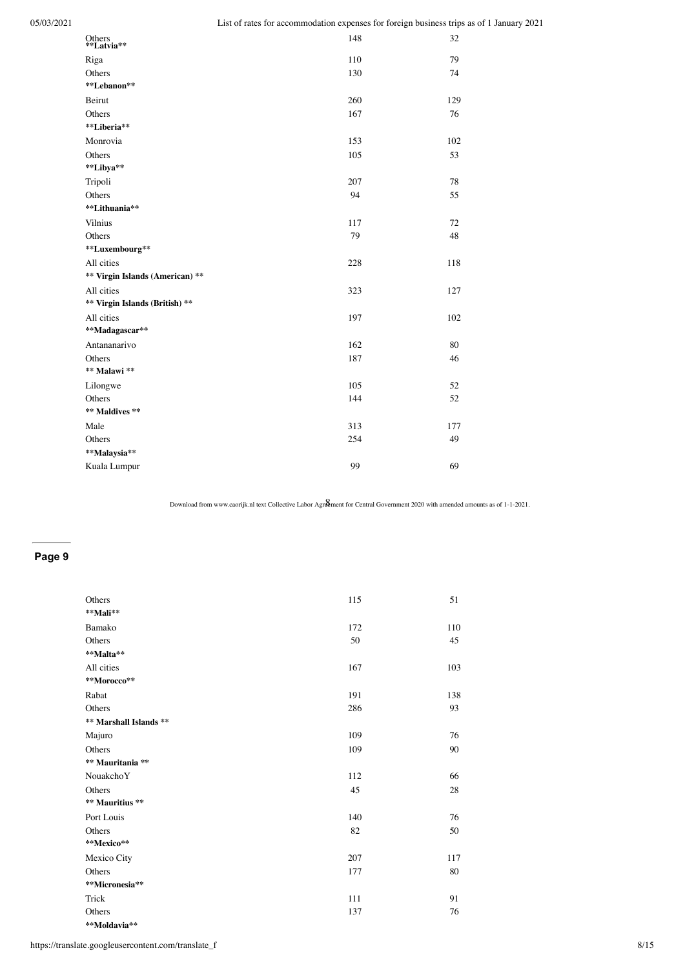| Others<br>**Latvia**            | 148 | 32  |
|---------------------------------|-----|-----|
| Riga                            | 110 | 79  |
| Others                          | 130 | 74  |
| **Lebanon**                     |     |     |
| Beirut                          | 260 | 129 |
| Others                          | 167 | 76  |
| **Liberia**                     |     |     |
| Monrovia                        | 153 | 102 |
| Others                          | 105 | 53  |
| **Libya**                       |     |     |
| Tripoli                         | 207 | 78  |
| Others                          | 94  | 55  |
| **Lithuania**                   |     |     |
| Vilnius                         | 117 | 72  |
| Others                          | 79  | 48  |
| **Luxembourg**                  |     |     |
| All cities                      | 228 | 118 |
| ** Virgin Islands (American) ** |     |     |
| All cities                      | 323 | 127 |
| ** Virgin Islands (British) **  |     |     |
| All cities                      | 197 | 102 |
| **Madagascar**                  |     |     |
| Antananarivo                    | 162 | 80  |
| Others                          | 187 | 46  |
| ** Malawi **                    |     |     |
| Lilongwe                        | 105 | 52  |
| Others                          | 144 | 52  |
| ** Maldives **                  |     |     |
| Male                            | 313 | 177 |
| Others                          | 254 | 49  |
| **Malaysia**                    |     |     |
| Kuala Lumpur                    | 99  | 69  |
|                                 |     |     |

## **Page 9**

| Others                 | 115 | 51     |
|------------------------|-----|--------|
| **Mali**               |     |        |
| Bamako                 | 172 | 110    |
| Others                 | 50  | 45     |
| **Malta**              |     |        |
| All cities             | 167 | 103    |
| **Morocco**            |     |        |
| Rabat                  | 191 | 138    |
| Others                 | 286 | 93     |
| ** Marshall Islands ** |     |        |
| Majuro                 | 109 | 76     |
| Others                 | 109 | 90     |
| ** Mauritania **       |     |        |
| NouakchoY              | 112 | 66     |
| Others                 | 45  | $28\,$ |
| ** Mauritius **        |     |        |
| Port Louis             | 140 | 76     |
| Others                 | 82  | 50     |
| **Mexico**             |     |        |
| Mexico City            | 207 | 117    |
| Others                 | 177 | 80     |
| **Micronesia**         |     |        |
| Trick                  | 111 | 91     |
| Others                 | 137 | 76     |
| **Moldavia**           |     |        |

https://translate.googleusercontent.com/translate\_f 8/15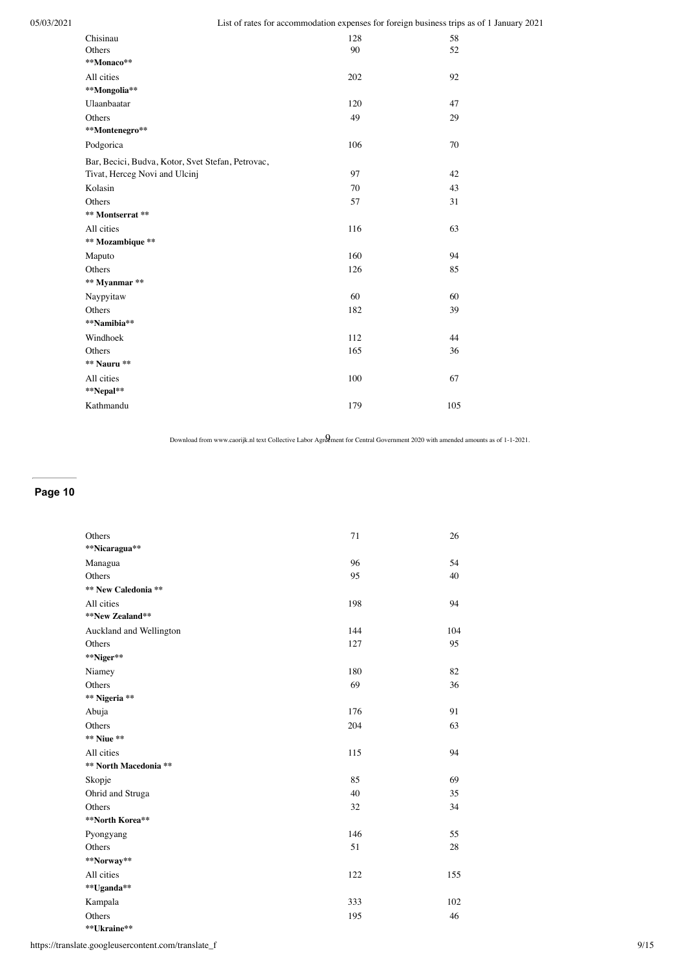| Chisinau                                          | 128 | 58  |
|---------------------------------------------------|-----|-----|
| Others                                            | 90  | 52  |
| **Monaco**                                        |     |     |
| All cities                                        | 202 | 92  |
| **Mongolia**                                      |     |     |
| Ulaanbaatar                                       | 120 | 47  |
| Others                                            | 49  | 29  |
| **Montenegro**                                    |     |     |
| Podgorica                                         | 106 | 70  |
| Bar, Becici, Budva, Kotor, Svet Stefan, Petrovac, |     |     |
| Tivat, Herceg Novi and Ulcinj                     | 97  | 42  |
| Kolasin                                           | 70  | 43  |
| Others                                            | 57  | 31  |
| ** Montserrat **                                  |     |     |
| All cities                                        | 116 | 63  |
| ** Mozambique **                                  |     |     |
| Maputo                                            | 160 | 94  |
| Others                                            | 126 | 85  |
| ** Myanmar **                                     |     |     |
| Naypyitaw                                         | 60  | 60  |
| Others                                            | 182 | 39  |
| **Namibia**                                       |     |     |
| Windhoek                                          | 112 | 44  |
| Others                                            | 165 | 36  |
| ** Nauru **                                       |     |     |
| All cities                                        | 100 | 67  |
| **Nepal**                                         |     |     |
| Kathmandu                                         | 179 | 105 |
|                                                   |     |     |

# **Page 10**

| Others                  | 71  | 26  |
|-------------------------|-----|-----|
| **Nicaragua**           |     |     |
| Managua                 | 96  | 54  |
| Others                  | 95  | 40  |
| ** New Caledonia **     |     |     |
| All cities              | 198 | 94  |
| **New Zealand**         |     |     |
| Auckland and Wellington | 144 | 104 |
| Others                  | 127 | 95  |
| **Niger**               |     |     |
| Niamey                  | 180 | 82  |
| Others                  | 69  | 36  |
| ** Nigeria **           |     |     |
| Abuja                   | 176 | 91  |
| Others                  | 204 | 63  |
| ** Niue **              |     |     |
| All cities              | 115 | 94  |
| ** North Macedonia **   |     |     |
| Skopje                  | 85  | 69  |
| Ohrid and Struga        | 40  | 35  |
| Others                  | 32  | 34  |
| **North Korea**         |     |     |
| Pyongyang               | 146 | 55  |
| Others                  | 51  | 28  |
| **Norway**              |     |     |
| All cities              | 122 | 155 |
| **Uganda**              |     |     |
| Kampala                 | 333 | 102 |
| Others                  | 195 | 46  |
| **Ukraine**             |     |     |

https://translate.googleusercontent.com/translate\_f 9/15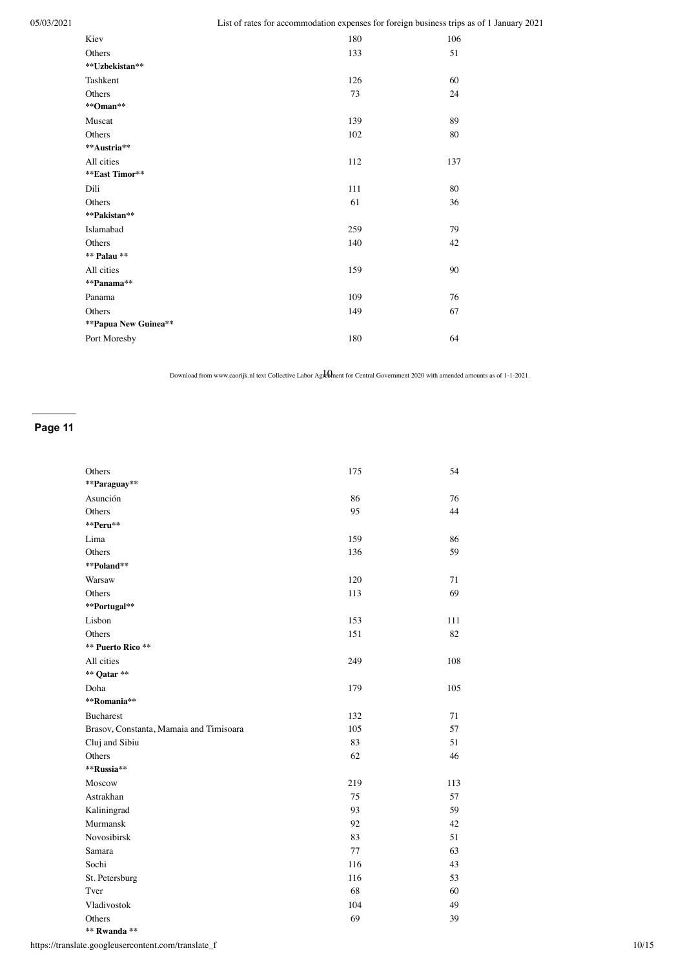| Kiev                 | 180 | 106 |
|----------------------|-----|-----|
| Others               | 133 | 51  |
| **Uzbekistan**       |     |     |
| Tashkent             | 126 | 60  |
| Others               | 73  | 24  |
| **Oman**             |     |     |
| Muscat               | 139 | 89  |
| Others               | 102 | 80  |
| **Austria**          |     |     |
| All cities           | 112 | 137 |
| **East Timor**       |     |     |
| Dili                 | 111 | 80  |
| Others               | 61  | 36  |
| **Pakistan**         |     |     |
| Islamabad            | 259 | 79  |
| Others               | 140 | 42  |
| ** Palau **          |     |     |
| All cities           | 159 | 90  |
| **Panama**           |     |     |
| Panama               | 109 | 76  |
| Others               | 149 | 67  |
| **Papua New Guinea** |     |     |
| Port Moresby         | 180 | 64  |
|                      |     |     |

Download from www.caorijk.nl text Collective Labor Agreement for Central Government 2020 with amended amounts as of 1-1-2021.

# **Page 11**

| Others                                  | 175 | 54  |
|-----------------------------------------|-----|-----|
| **Paraguay**                            |     |     |
| Asunción                                | 86  | 76  |
| Others                                  | 95  | 44  |
| **Peru**                                |     |     |
| Lima                                    | 159 | 86  |
| Others                                  | 136 | 59  |
| **Poland**                              |     |     |
| Warsaw                                  | 120 | 71  |
| Others                                  | 113 | 69  |
| **Portugal**                            |     |     |
| Lisbon                                  | 153 | 111 |
| Others                                  | 151 | 82  |
| ** Puerto Rico **                       |     |     |
| All cities                              | 249 | 108 |
| ** Qatar **                             |     |     |
| Doha                                    | 179 | 105 |
| **Romania**                             |     |     |
| <b>Bucharest</b>                        | 132 | 71  |
| Brasov, Constanta, Mamaia and Timisoara | 105 | 57  |
| Cluj and Sibiu                          | 83  | 51  |
| Others                                  | 62  | 46  |
| **Russia**                              |     |     |
| Moscow                                  | 219 | 113 |
| Astrakhan                               | 75  | 57  |
| Kaliningrad                             | 93  | 59  |
| Murmansk                                | 92  | 42  |
| Novosibirsk                             | 83  | 51  |
| Samara                                  | 77  | 63  |
| Sochi                                   | 116 | 43  |
| St. Petersburg                          | 116 | 53  |
| Tver                                    | 68  | 60  |
| Vladivostok                             | 104 | 49  |
| Others                                  | 69  | 39  |
| ** Rwanda **                            |     |     |

https://translate.googleusercontent.com/translate\_f 10/15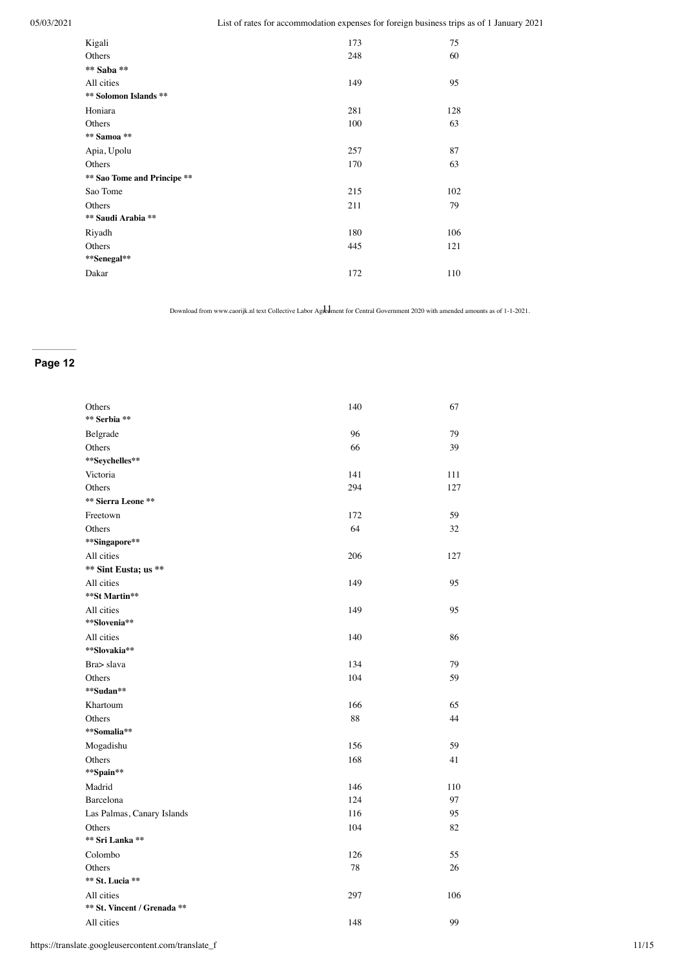| Kigali                      | 173 | 75  |
|-----------------------------|-----|-----|
| Others                      | 248 | 60  |
| ** Saba **                  |     |     |
| All cities                  | 149 | 95  |
| ** Solomon Islands **       |     |     |
| Honiara                     | 281 | 128 |
| Others                      | 100 | 63  |
| ** Samoa **                 |     |     |
| Apia, Upolu                 | 257 | 87  |
| Others                      | 170 | 63  |
| ** Sao Tome and Principe ** |     |     |
| Sao Tome                    | 215 | 102 |
| Others                      | 211 | 79  |
| ** Saudi Arabia **          |     |     |
| Riyadh                      | 180 | 106 |
| Others                      | 445 | 121 |
| **Senegal**                 |     |     |
| Dakar                       | 172 | 110 |
|                             |     |     |

Download from www.caorijk.nl text Collective Labor Agreement for Central Government 2020 with amended amounts as of 1-1-2021.

| Others<br>** Serbia **      | 140 | 67  |
|-----------------------------|-----|-----|
|                             |     |     |
| Belgrade                    | 96  | 79  |
| Others                      | 66  | 39  |
| **Seychelles**              |     |     |
| Victoria                    | 141 | 111 |
| Others                      | 294 | 127 |
| ** Sierra Leone **          |     |     |
| Freetown                    | 172 | 59  |
| Others                      | 64  | 32  |
| **Singapore**               |     |     |
| All cities                  | 206 | 127 |
| ** Sint Eusta; us **        |     |     |
| All cities                  | 149 | 95  |
| **St Martin**               |     |     |
| All cities                  | 149 | 95  |
| **Slovenia**                |     |     |
| All cities                  | 140 | 86  |
| **Slovakia**                |     |     |
| Bra> slava                  | 134 | 79  |
| Others                      | 104 | 59  |
| **Sudan**                   |     |     |
| Khartoum                    | 166 | 65  |
| Others                      | 88  | 44  |
| **Somalia**                 |     |     |
| Mogadishu                   | 156 | 59  |
| Others                      | 168 | 41  |
| **Spain**                   |     |     |
| Madrid                      | 146 | 110 |
| Barcelona                   | 124 | 97  |
| Las Palmas, Canary Islands  | 116 | 95  |
| Others                      | 104 | 82  |
| ** Sri Lanka **             |     |     |
| Colombo                     | 126 | 55  |
| Others                      | 78  | 26  |
| ** St. Lucia **             |     |     |
| All cities                  | 297 | 106 |
| ** St. Vincent / Grenada ** |     |     |
| All cities                  | 148 | 99  |
|                             |     |     |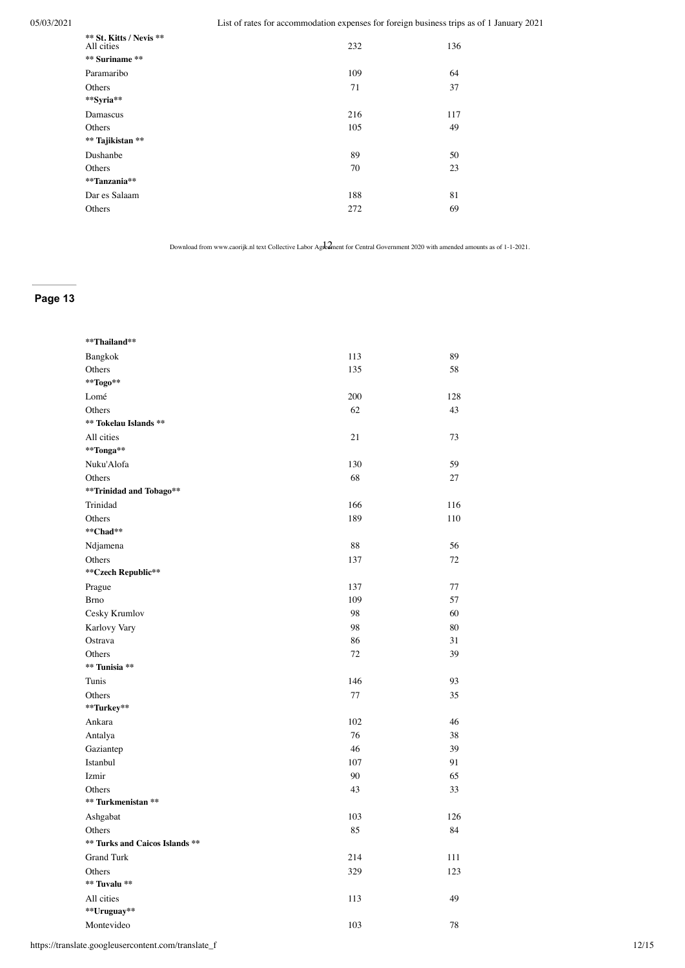| ** St. Kitts / Nevis **<br>All cities | 232 | 136 |
|---------------------------------------|-----|-----|
| ** Suriname **                        |     |     |
| Paramaribo                            | 109 | 64  |
| Others                                | 71  | 37  |
| **Syria**                             |     |     |
| Damascus                              | 216 | 117 |
| Others                                | 105 | 49  |
| ** Tajikistan **                      |     |     |
| Dushanbe                              | 89  | 50  |
| Others                                | 70  | 23  |
| **Tanzania**                          |     |     |
| Dar es Salaam                         | 188 | 81  |
| Others                                | 272 | 69  |
|                                       |     |     |

Download from www.caorijk.nl text Collective Labor Agreement for Central Government 2020 with amended amounts as of 1-1-2021.

| **Thailand**                   |        |     |
|--------------------------------|--------|-----|
| Bangkok                        | 113    | 89  |
| Others                         | 135    | 58  |
| **Togo**                       |        |     |
| Lomé                           | 200    | 128 |
| Others                         | 62     | 43  |
| ** Tokelau Islands **          |        |     |
| All cities                     | 21     | 73  |
| **Tonga**                      |        |     |
| Nuku'Alofa                     | 130    | 59  |
| Others                         | 68     | 27  |
| **Trinidad and Tobago**        |        |     |
| Trinidad                       | 166    | 116 |
| Others                         | 189    | 110 |
| **Chad**                       |        |     |
| Ndjamena                       | 88     | 56  |
| Others                         | 137    | 72  |
| ** Czech Republic**            |        |     |
| Prague                         | 137    | 77  |
| <b>Brno</b>                    | 109    | 57  |
| Cesky Krumlov                  | 98     | 60  |
| Karlovy Vary                   | 98     | 80  |
| Ostrava                        | 86     | 31  |
| Others                         | $72\,$ | 39  |
| ** Tunisia **                  |        |     |
| Tunis                          | 146    | 93  |
| Others                         | 77     | 35  |
| **Turkey**                     |        |     |
| Ankara                         | 102    | 46  |
| Antalya                        | 76     | 38  |
| Gaziantep                      | 46     | 39  |
| Istanbul                       | 107    | 91  |
| Izmir                          | 90     | 65  |
| Others                         | 43     | 33  |
| ** Turkmenistan **             |        |     |
| Ashgabat                       | 103    | 126 |
| Others                         | 85     | 84  |
| ** Turks and Caicos Islands ** |        |     |
| <b>Grand Turk</b>              | 214    | 111 |
| Others                         | 329    | 123 |
| ** Tuvalu **                   |        |     |
| All cities                     | 113    | 49  |
| **Uruguay**                    |        |     |
| Montevideo                     | 103    | 78  |
|                                |        |     |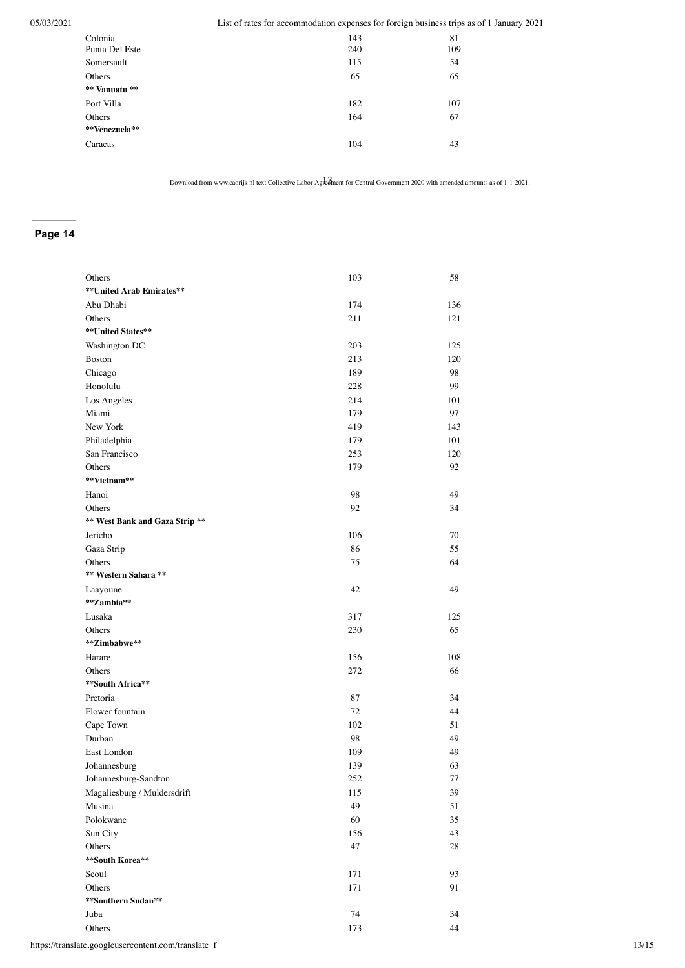| Colonia<br>Punta Del Este | 143<br>240 | 81<br>109 |
|---------------------------|------------|-----------|
| Somersault                | 115        | 54        |
| Others                    | 65         | 65        |
| ** Vanuatu **             |            |           |
| Port Villa                | 182        | 107       |
| Others                    | 164        | 67        |
| **Venezuela**             |            |           |
| Caracas                   | 104        | 43        |

Download from www.caorijk.nl text Collective Labor Agreement for Central Government 2020 with amended amounts as of 1-1-2021.

| Others                         | 103 | 58  |
|--------------------------------|-----|-----|
| **United Arab Emirates**       |     |     |
| Abu Dhabi                      | 174 | 136 |
| Others                         | 211 | 121 |
| **United States**              |     |     |
| Washington DC                  | 203 | 125 |
| <b>Boston</b>                  | 213 | 120 |
| Chicago                        | 189 | 98  |
| Honolulu                       | 228 | 99  |
| Los Angeles                    | 214 | 101 |
| Miami                          | 179 | 97  |
| New York                       | 419 | 143 |
| Philadelphia                   | 179 | 101 |
| San Francisco                  | 253 | 120 |
| Others                         | 179 | 92  |
| **Vietnam**                    |     |     |
| Hanoi                          | 98  | 49  |
| Others                         | 92  | 34  |
| ** West Bank and Gaza Strip ** |     |     |
| Jericho                        | 106 | 70  |
| Gaza Strip                     | 86  | 55  |
| Others                         | 75  | 64  |
| ** Western Sahara **           |     |     |
| Laayoune                       | 42  | 49  |
| **Zambia**                     |     |     |
| Lusaka                         | 317 | 125 |
| Others                         | 230 | 65  |
| **Zimbabwe**                   |     |     |
| Harare                         | 156 | 108 |
| Others                         | 272 | 66  |
| **South Africa**               |     |     |
| Pretoria                       | 87  | 34  |
| Flower fountain                | 72  | 44  |
| Cape Town                      | 102 | 51  |
| Durban                         | 98  | 49  |
| East London                    | 109 | 49  |
| Johannesburg                   | 139 | 63  |
| Johannesburg-Sandton           | 252 | 77  |
| Magaliesburg / Muldersdrift    | 115 | 39  |
| Musina                         | 49  | 51  |
| Polokwane                      | 60  | 35  |
| Sun City                       | 156 | 43  |
| Others                         | 47  | 28  |
| **South Korea**                |     |     |
| Seoul                          | 171 | 93  |
| Others                         | 171 | 91  |
| **Southern Sudan**             |     |     |
| Juba                           | 74  | 34  |
| Others                         | 173 | 44  |
|                                |     |     |